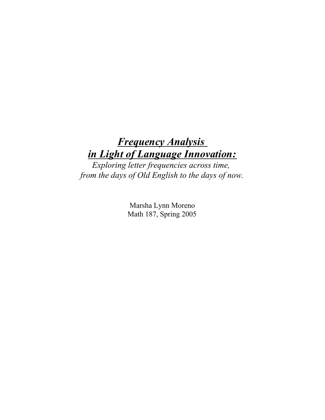# **Frequency Analysis** in Light of Language Innovation:

Exploring letter frequencies across time, from the days of Old English to the days of now.

> Marsha Lynn Moreno Math 187, Spring 2005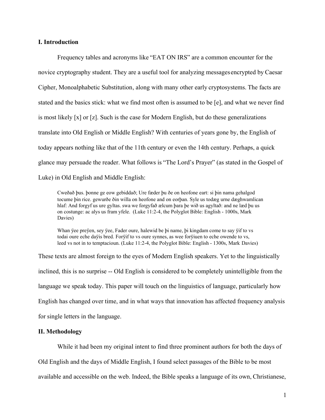### I. Introduction

Frequency tables and acronyms like "EAT ON IRS" are a common encounter for the novice cryptography student. They are a useful tool for analyzing messages encrypted by Caesar Cipher, Monoalphabetic Substitution, along with many other early cryptosystems. The facts are stated and the basics stick: what we find most often is assumed to be [e], and what we never find is most likely  $[x]$  or  $[z]$ . Such is the case for Modern English, but do these generalizations translate into Old English or Middle English? With centuries of years gone by, the English of today appears nothing like that of the 11th century or even the 14th century. Perhaps, a quick glance may persuade the reader. What follows is "The Lord's Prayer" (as stated in the Gospel of Luke) in Old English and Middle English:

Cweðað þus. þonne ge eow gebiddað; Ure fæder þu ðe on heofone eart: si þin nama gehalgod tocume þin rice. gewurðe ðin willa on heofone and on eorþan. Syle us todæg urne dæghwamlican hlaf: And forgyf us ure gyltas. swa we forgyfað ælcum þara þe wið us agyltað: and ne læd þu us on costunge: ac alys us fram yfele. (Luke 11:2-4, the Polyglot Bible: English - 1000s, Mark Davies)

Whan ÿee preÿen, sey ÿee, Fader oure, halewid be þi name, þi kingdam come to say ÿif to vs todai oure eche daÿis bred. Forÿif to vs oure synnes, as wee forÿiuen to eche owende to vs, leed vs not in to temptacioun. (Luke 11:2-4, the Polyglot Bible: English - 1300s, Mark Davies)

These texts are almost foreign to the eyes of Modern English speakers. Yet to the linguistically inclined, this is no surprise -- Old English is considered to be completely unintelligible from the language we speak today. This paper will touch on the linguistics of language, particularly how English has changed over time, and in what ways that innovation has affected frequency analysis for single letters in the language.

#### II. Methodology

While it had been my original intent to find three prominent authors for both the days of

Old English and the days of Middle English, I found select passages of the Bible to be most

available and accessible on the web. Indeed, the Bible speaks a language of its own, Christianese,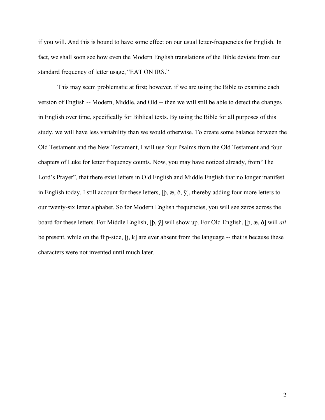if you will. And this is bound to have some effect on our usual letter-frequencies for English. In fact, we shall soon see how even the Modern English translations of the Bible deviate from our standard frequency of letter usage, "EAT ON IRS."

This may seem problematic at first; however, if we are using the Bible to examine each version of English -- Modern, Middle, and Old -- then we will still be able to detect the changes in English over time, specifically for Biblical texts. By using the Bible for all purposes of this study, we will have less variability than we would otherwise. To create some balance between the Old Testament and the New Testament, I will use four Psalms from the Old Testament and four chapters of Luke for letter frequency counts. Now, you may have noticed already, from "The Lord's Prayer", that there exist letters in Old English and Middle English that no longer manifest in English today. I still account for these letters, [þ, æ, ð, ÿ], thereby adding four more letters to our twenty-six letter alphabet. So for Modern English frequencies, you will see zeros across the board for these letters. For Middle English, [þ, ÿ] will show up. For Old English, [þ, æ, ð] will all be present, while on the flip-side, [j, k] are ever absent from the language -- that is because these characters were not invented until much later.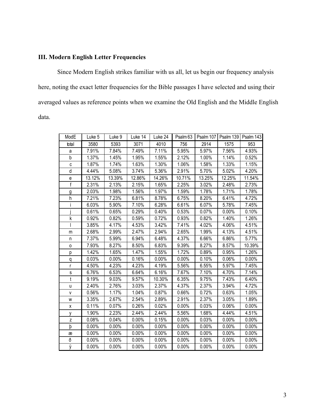# III. Modern English Letter Frequencies

Since Modern English strikes familiar with us all, let us begin our frequency analysis here, noting the exact letter frequencies for the Bible passages I have selected and using their averaged values as reference points when we examine the Old English and the Middle English data.

| ModE         | Luke 5   | Luke 9   | Luke 14  | Luke 24  |          | Psalm 63   Psalm 107   Psalm 139   Psalm 143 |        |          |
|--------------|----------|----------|----------|----------|----------|----------------------------------------------|--------|----------|
| total        | 3580     | 5393     | 3071     | 4010     | 756      | 2914                                         | 1575   | 953      |
| a            | 7.91%    | 7.84%    | 7.49%    | 7.11%    | 5.95%    | 5.97%                                        | 7.56%  | 4.93%    |
| b            | 1.37%    | 1.45%    | 1.95%    | 1.55%    | 2.12%    | 1.00%                                        | 1.14%  | 0.52%    |
| C            | 1.87%    | 1.74%    | 1.63%    | 1.30%    | 1.06%    | 1.58%                                        | 1.33%  | 1.15%    |
| d            | 4.44%    | 5.08%    | 3.74%    | 5.36%    | 2.91%    | 5.70%                                        | 5.02%  | 4.20%    |
| e            | 13.12%   | 13.39%   | 12.86%   | 14.26%   | 10.71%   | 13.25%                                       | 12.25% | 11.54%   |
| f            | 2.31%    | 2.13%    | 2.15%    | 1.65%    | 2.25%    | 3.02%                                        | 2.48%  | 2.73%    |
| g            | 2.03%    | 1.98%    | 1.56%    | 1.97%    | 1.59%    | 1.78%                                        | 1.71%  | 1.78%    |
| h            | 7.21%    | 7.23%    | 6.81%    | 8.78%    | 6.75%    | 8.20%                                        | 6.41%  | 4.72%    |
|              | 6.03%    | 5.90%    | 7.10%    | 6.28%    | 6.61%    | 6.07%                                        | 5.78%  | 7.45%    |
|              | 0.61%    | 0.65%    | 0.29%    | 0.40%    | 0.53%    | 0.07%                                        | 0.00%  | 0.10%    |
| k            | 0.92%    | 0.82%    | 0.59%    | 0.72%    | 0.93%    | 0.82%                                        | 1.40%  | 1.26%    |
|              | 3.85%    | 4.17%    | 4.53%    | 3.42%    | 7.41%    | 4.02%                                        | 4.06%  | 4.51%    |
| m            | 2.68%    | 2.99%    | 2.47%    | 2.94%    | 2.65%    | 1.99%                                        | 4.13%  | 4.51%    |
| n            | 7.37%    | 5.99%    | 6.94%    | 6.48%    | 4.37%    | 6.66%                                        | 6.86%  | 5.77%    |
| $\mathsf{o}$ | 7.93%    | 8.27%    | 8.50%    | 6.83%    | 9.39%    | 8.27%                                        | 8.57%  | 10.39%   |
| р            | 1.42%    | 1.65%    | 1.47%    | 1.55%    | 1.72%    | 0.89%                                        | 0.95%  | 1.26%    |
| q            | 0.03%    | $0.00\%$ | 0.16%    | $0.00\%$ | 0.00%    | 0.10%                                        | 0.06%  | 0.00%    |
| r            | 4.50%    | 4.23%    | 4.23%    | 4.19%    | 5.56%    | 6.55%                                        | 5.97%  | 7.45%    |
| s            | 6.76%    | 6.53%    | 6.64%    | 6.16%    | 7.67%    | 7.10%                                        | 4.70%  | 7.14%    |
| t            | 9.19%    | 9.03%    | 9.57%    | 10.30%   | 6.35%    | 9.75%                                        | 7.43%  | 6.40%    |
| u            | 2.40%    | 2.76%    | 3.03%    | 2.37%    | 4.37%    | 2.37%                                        | 3.94%  | 4.72%    |
| V            | 0.56%    | 1.17%    | 1.04%    | 0.87%    | 0.66%    | 0.72%                                        | 0.63%  | 1.05%    |
| W            | 3.35%    | 2.67%    | 2.54%    | 2.89%    | 2.91%    | 2.37%                                        | 3.05%  | 1.89%    |
| X            | 0.11%    | 0.07%    | 0.26%    | 0.02%    | $0.00\%$ | 0.03%                                        | 0.06%  | $0.00\%$ |
| у            | 1.90%    | 2.23%    | 2.44%    | 2.44%    | 5.56%    | 1.68%                                        | 4.44%  | 4.51%    |
| z            | 0.08%    | 0.04%    | $0.00\%$ | 0.15%    | 0.00%    | 0.03%                                        | 0.00%  | 0.00%    |
| þ            | 0.00%    | 0.00%    | 0.00%    | 0.00%    | 0.00%    | 0.00%                                        | 0.00%  | 0.00%    |
| æ            | 0.00%    | 0.00%    | 0.00%    | 0.00%    | 0.00%    | 0.00%                                        | 0.00%  | 0.00%    |
| ð            | $0.00\%$ | 0.00%    | 0.00%    | 0.00%    | 0.00%    | $0.00\%$                                     | 0.00%  | 0.00%    |
| ÿ            | 0.00%    | 0.00%    | 0.00%    | 0.00%    | 0.00%    | 0.00%                                        | 0.00%  | $0.00\%$ |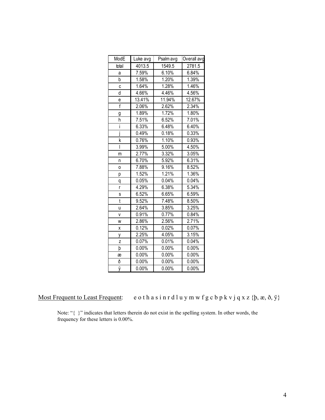| ModE           | Luke avg | Psalm avg | Overall avg |
|----------------|----------|-----------|-------------|
| total          | 4013.5   | 1549.5    | 2781.5      |
| a              | 7.59%    | 6.10%     | 6.84%       |
| b              | 1.58%    | 1.20%     | 1.39%       |
| C              | 1.64%    | 1.28%     | 1.46%       |
| d              | 4.66%    | 4.46%     | 4.56%       |
| е              | 13.41%   | 11.94%    | 12.67%      |
| $\overline{f}$ | 2.06%    | 2.62%     | 2.34%       |
| g              | 1.89%    | 1.72%     | 1.80%       |
| h              | 7.51%    | 6.52%     | 7.01%       |
| İ              | 6.33%    | 6.48%     | 6.40%       |
| İ              | 0.49%    | 0.18%     | 0.33%       |
| k              | 0.76%    | 1.10%     | 0.93%       |
| I              | 3.99%    | 5.00%     | 4.50%       |
| m              | 2.77%    | 3.32%     | 3.05%       |
| n              | 6.70%    | 5.92%     | 6.31%       |
| O              | 7.88%    | 9.16%     | 8.52%       |
| р              | 1.52%    | 1.21%     | 1.36%       |
| q              | 0.05%    | $0.04\%$  | 0.04%       |
| r              | 4.29%    | 6.38%     | 5.34%       |
| S              | 6.52%    | 6.65%     | 6.59%       |
| t              | 9.52%    | 7.48%     | 8.50%       |
| u              | 2.64%    | 3.85%     | 3.25%       |
| v              | 0.91%    | 0.77%     | 0.84%       |
| W              | 2.86%    | 2.56%     | 2.71%       |
| χ              | 0.12%    | 0.02%     | 0.07%       |
| у              | 2.25%    | 4.05%     | 3.15%       |
| z              | 0.07%    | 0.01%     | 0.04%       |
| þ              | 0.00%    | 0.00%     | $0.00\%$    |
| æ              | 0.00%    | 0.00%     | 0.00%       |
| ð              | 0.00%    | $0.00\%$  | 0.00%       |
| ÿ              | 0.00%    | 0.00%     | 0.00%       |

Most Frequent to Least Frequent: e o thas in r d l u y m w f g c b p k v j q x z {b,  $x$ ,  $\delta$ ,  $\ddot{y}$ }

Note: "{ }" indicates that letters therein do not exist in the spelling system. In other words, the frequency for these letters is 0.00%.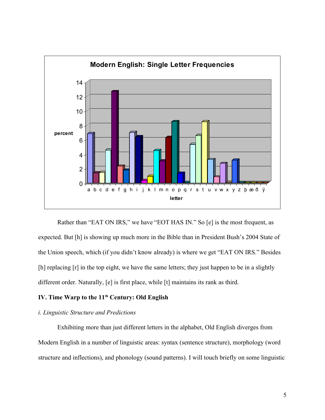

Rather than "EAT ON IRS," we have "EOT HAS IN." So [e] is the most frequent, as expected. But [h] is showing up much more in the Bible than in President Bush's 2004 State of the Union speech, which (if you didn't know already) is where we get "EAT ON IRS." Besides [h] replacing [r] in the top eight, we have the same letters; they just happen to be in a slightly different order. Naturally, [e] is first place, while [t] maintains its rank as third.

## IV. Time Warp to the  $11<sup>th</sup>$  Century: Old English

### i. Linguistic Structure and Predictions

Exhibiting more than just different letters in the alphabet, Old English diverges from Modern English in a number of linguistic areas: syntax (sentence structure), morphology (word structure and inflections), and phonology (sound patterns). I will touch briefly on some linguistic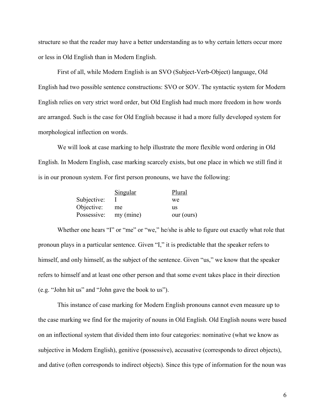structure so that the reader may have a better understanding as to why certain letters occur more or less in Old English than in Modern English.

First of all, while Modern English is an SVO (Subject-Verb-Object) language, Old English had two possible sentence constructions: SVO or SOV. The syntactic system for Modern English relies on very strict word order, but Old English had much more freedom in how words are arranged. Such is the case for Old English because it had a more fully developed system for morphological inflection on words.

We will look at case marking to help illustrate the more flexible word ordering in Old English. In Modern English, case marking scarcely exists, but one place in which we still find it is in our pronoun system. For first person pronouns, we have the following:

|             | Singular  | Plural     |
|-------------|-----------|------------|
| Subjective: |           | we         |
| Objective:  | me        | us         |
| Possessive: | my (mine) | our (ours) |

Whether one hears "I" or "me" or "we," he/she is able to figure out exactly what role that pronoun plays in a particular sentence. Given "I," it is predictable that the speaker refers to himself, and only himself, as the subject of the sentence. Given "us," we know that the speaker refers to himself and at least one other person and that some event takes place in their direction (e.g. "John hit us" and "John gave the book to us").

This instance of case marking for Modern English pronouns cannot even measure up to the case marking we find for the majority of nouns in Old English. Old English nouns were based on an inflectional system that divided them into four categories: nominative (what we know as subjective in Modern English), genitive (possessive), accusative (corresponds to direct objects), and dative (often corresponds to indirect objects). Since this type of information for the noun was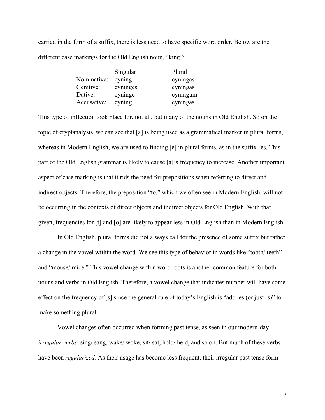carried in the form of a suffix, there is less need to have specific word order. Below are the different case markings for the Old English noun, "king":

|             | <u>Singular</u> | Plural   |
|-------------|-----------------|----------|
| Nominative: | cyning          | cyningas |
| Genitive:   | cyninges        | cyningas |
| Dative:     | cyninge         | cyningum |
| Accusative: | cyning          | cyningas |

This type of inflection took place for, not all, but many of the nouns in Old English. So on the topic of cryptanalysis, we can see that [a] is being used as a grammatical marker in plural forms, whereas in Modern English, we are used to finding [e] in plural forms, as in the suffix -es. This part of the Old English grammar is likely to cause [a]'s frequency to increase. Another important aspect of case marking is that it rids the need for prepositions when referring to direct and indirect objects. Therefore, the preposition "to," which we often see in Modern English, will not be occurring in the contexts of direct objects and indirect objects for Old English. With that given, frequencies for [t] and [o] are likely to appear less in Old English than in Modern English.

In Old English, plural forms did not always call for the presence of some suffix but rather a change in the vowel within the word. We see this type of behavior in words like "tooth/ teeth" and "mouse/ mice." This vowel change within word roots is another common feature for both nouns and verbs in Old English. Therefore, a vowel change that indicates number will have some effect on the frequency of [s] since the general rule of today's English is "add -es (or just -s)" to make something plural.

Vowel changes often occurred when forming past tense, as seen in our modern-day irregular verbs: sing/ sang, wake/ woke, sit/ sat, hold/ held, and so on. But much of these verbs have been *regularized*. As their usage has become less frequent, their irregular past tense form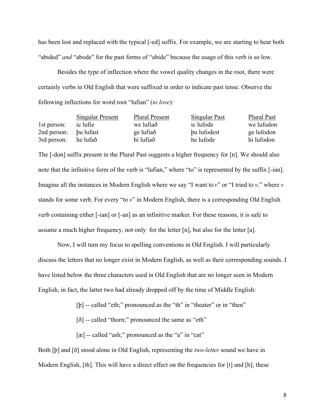has been lost and replaced with the typical [-ed] suffix. For example, we are starting to hear both "abided" *and* "abode" for the past forms of "abide" because the usage of this verb is so low.

Besides the type of inflection where the vowel quality changes in the root, there were certainly verbs in Old English that were suffixed in order to indicate past tense. Observe the following inflections for word root "lufian" (to love):

|             | <b>Singular Present</b> | <b>Plural Present</b> | <b>Singular Past</b> | Plural Past |
|-------------|-------------------------|-----------------------|----------------------|-------------|
| 1st person: | ic lufie                | we lufiað             | ic lufode            | we lufodon  |
| 2nd person: | bu lufast               | ge lufiað             | bu lufodest          | ge lufodon  |
| 3rd person: | he lufað                | hi lufiað             | he lufode            | hi lufodon  |

The [-don] suffix present in the Plural Past suggests a higher frequency for [n]. We should also note that the infinitive form of the verb is "lufian," where "to" is represented by the suffix [-ian]. Imagine all the instances in Modern English where we say "I want to  $v$ " or "I tried to  $v$ ," where  $v$ stands for some verb. For every "to  $v$ " in Modern English, there is a corresponding Old English verb containing either [-ian] or [-an] as an infinitive marker. For these reasons, it is safe to assume a much higher frequency, not only for the letter [n], but also for the letter [a].

Now, I will turn my focus to spelling conventions in Old English. I will particularly discuss the letters that no longer exist in Modern English, as well as their corresponding sounds. I have listed below the three characters used in Old English that are no longer seen in Modern English, in fact, the latter two had already dropped off by the time of Middle English:

[b] -- called "eth;" pronounced as the "th" in "theater" or in "then"

[ $\delta$ ] -- called "thorn;" pronounced the same as "eth"

[æ] -- called "ash;" pronounced as the "a" in "cat"

Both [b] and [ð] stood alone in Old English, representing the *two-letter* sound we have in Modern English, [th]. This will have a direct effect on the frequencies for [t] and [h]; these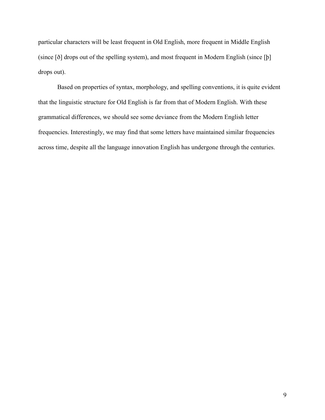particular characters will be least frequent in Old English, more frequent in Middle English (since [ð] drops out of the spelling system), and most frequent in Modern English (since [þ] drops out).

Based on properties of syntax, morphology, and spelling conventions, it is quite evident that the linguistic structure for Old English is far from that of Modern English. With these grammatical differences, we should see some deviance from the Modern English letter frequencies. Interestingly, we may find that some letters have maintained similar frequencies across time, despite all the language innovation English has undergone through the centuries.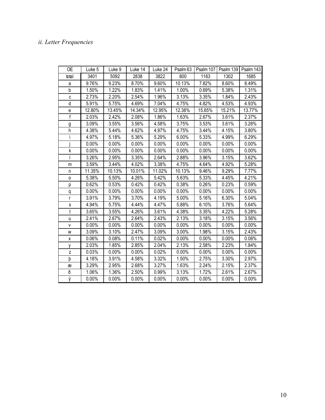# ii. Letter Frequencies

| 0E             | Luke 5 | Luke 9 | Luke 14  | Luke 24  |        |        | Psalm 63   Psalm 107   Psalm 139   Psalm 143 |          |
|----------------|--------|--------|----------|----------|--------|--------|----------------------------------------------|----------|
| total          | 3401   | 5092   | 2838     | 3822     | 800    | 1163   | 1302                                         | 1685     |
| a              | 9.76%  | 9.23%  | 8.70%    | 9.60%    | 10.13% | 7.82%  | 8.60%                                        | 8.49%    |
| b              | 1.50%  | 1.22%  | 1.83%    | 1.41%    | 1.00%  | 0.69%  | 5.38%                                        | 1.31%    |
| C              | 2.73%  | 2.20%  | 2.54%    | 1.96%    | 3.13%  | 3.35%  | 1.84%                                        | 2.43%    |
| d              | 5.91%  | 5.75%  | 4.69%    | 7.04%    | 4.75%  | 4.82%  | 4.53%                                        | 4.93%    |
| е              | 12.80% | 13.45% | 14.34%   | 12.95%   | 12.38% | 15.65% | 15.21%                                       | 13.77%   |
| f              | 2.03%  | 2.42%  | 2.08%    | 1.86%    | 1.63%  | 2.67%  | 3.61%                                        | 2.37%    |
| $\overline{g}$ | 3.09%  | 3.55%  | 3.56%    | 4.58%    | 3.75%  | 3.53%  | 3.61%                                        | 3.26%    |
| h              | 4.38%  | 5.44%  | 4.62%    | 4.97%    | 4.75%  | 3.44%  | 4.15%                                        | 3.80%    |
|                | 4.97%  | 5.18%  | 5.36%    | 5.29%    | 6.00%  | 5.33%  | 4.99%                                        | 6.29%    |
|                | 0.00%  | 0.00%  | $0.00\%$ | $0.00\%$ | 0.00%  | 0.00%  | 0.00%                                        | $0.00\%$ |
| k              | 0.00%  | 0.00%  | 0.00%    | 0.00%    | 0.00%  | 0.00%  | 0.00%                                        | 0.00%    |
| I              | 3.26%  | 2.95%  | 3.35%    | 2.64%    | 2.88%  | 3.96%  | 3.15%                                        | 3.62%    |
| m              | 3.59%  | 3.44%  | 4.02%    | 3.38%    | 4.75%  | 4.64%  | 4.92%                                        | 5.28%    |
| n              | 11.35% | 10.13% | 10.01%   | 11.02%   | 10.13% | 9.46%  | 9.29%                                        | 7.77%    |
| 0              | 5.38%  | 5.50%  | 4.26%    | 5.42%    | 5.63%  | 5.33%  | 4.45%                                        | 4.21%    |
| р              | 0.62%  | 0.53%  | 0.42%    | 0.42%    | 0.38%  | 0.26%  | 0.23%                                        | 0.59%    |
| q              | 0.00%  | 0.00%  | 0.00%    | 0.00%    | 0.00%  | 0.00%  | 0.00%                                        | 0.00%    |
| r              | 3.91%  | 3.79%  | 3.70%    | 4.19%    | 5.00%  | 5.16%  | 6.30%                                        | 5.04%    |
| s              | 4.94%  | 5.75%  | 4.44%    | 4.47%    | 5.88%  | 6.10%  | 3.76%                                        | 5.64%    |
| $\mathsf{t}$   | 3.65%  | 3.55%  | 4.26%    | 3.61%    | 4.38%  | 3.35%  | 4.22%                                        | 5.28%    |
| u              | 2.41%  | 2.67%  | 2.64%    | 2.43%    | 2.13%  | 3.18%  | 3.15%                                        | 3.56%    |
| V              | 0.00%  | 0.00%  | 0.00%    | 0.00%    | 0.00%  | 0.00%  | 0.00%                                        | 0.00%    |
| W              | 3.09%  | 3.10%  | 2.47%    | 3.09%    | 3.00%  | 1.98%  | 3.15%                                        | 2.43%    |
| x              | 0.06%  | 0.08%  | 0.11%    | 0.02%    | 0.00%  | 0.00%  | 0.00%                                        | 0.06%    |
| y              | 2.03%  | 1.85%  | 2.85%    | 2.04%    | 2.13%  | 2.58%  | 2.23%                                        | 1.84%    |
| z              | 0.03%  | 0.00%  | $0.00\%$ | 0.02%    | 0.00%  | 0.00%  | 0.00%                                        | 0.00%    |
| þ              | 4.18%  | 3.91%  | 4.58%    | 3.32%    | 1.50%  | 2.75%  | 3.30%                                        | 2.97%    |
| æ              | 3.29%  | 2.95%  | 2.68%    | 3.27%    | 1.63%  | 2.24%  | 2.15%                                        | 2.37%    |
| ð              | 1.06%  | 1.36%  | 2.50%    | 0.99%    | 3.13%  | 1.72%  | 2.61%                                        | 2.67%    |
| ÿ              | 0.00%  | 0.00%  | 0.00%    | $0.00\%$ | 0.00%  | 0.00%  | 0.00%                                        | 0.00%    |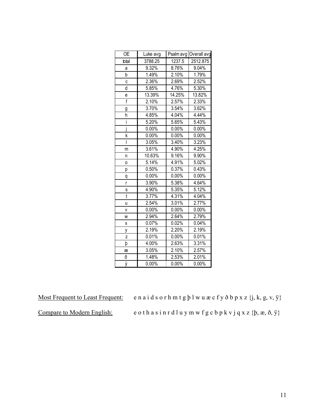| <b>OE</b> | Luke avg            |          | Psalm avg Overall avg |
|-----------|---------------------|----------|-----------------------|
| total     | 3788.25             | 1237.5   | 2512.875              |
| a         | $\overline{9.32\%}$ | 8.76%    | 9.04%                 |
| b         | 1.49%               | 2.10%    | 1.79%                 |
| C         | 2.36%               | 2.69%    | 2.52%                 |
| d         | 5.85%               | 4.76%    | 5.30%                 |
| е         | 13.39%              | 14.25%   | 13.82%                |
| f         | 2.10%               | 2.57%    | 2.33%                 |
| g         | 3.70%               | 3.54%    | 3.62%                 |
| h         | 4.85%               | $4.04\%$ | 4.44%                 |
| i         | 5.20%               | 5.65%    | 5.43%                 |
| i         | 0.00%               | 0.00%    | 0.00%                 |
| k         | 0.00%               | 0.00%    | 0.00%                 |
| I         | 3.05%               | 3.40%    | 3.23%                 |
| m         | 3.61%               | 4.90%    | 4.25%                 |
| n         | 10.63%              | 9.16%    | 9.90%                 |
| 0         | 5.14%               | 4.91%    | 5.02%                 |
| р         | 0.50%               | 0.37%    | 0.43%                 |
| q         | 0.00%               | 0.00%    | 0.00%                 |
| r         | 3.90%               | 5.38%    | 4.64%                 |
| S         | 4.90%               | 5.35%    | 5.12%                 |
| t         | 3.77%               | 4.31%    | 4.04%                 |
| u         | 2.54%               | 3.01%    | 2.77%                 |
| V         | $0.00\%$            | 0.00%    | 0.00%                 |
| W         | 2.94%               | 2.64%    | 2.79%                 |
| Χ         | 0.07%               | 0.02%    | 0.04%                 |
| у         | 2.19%               | 2.20%    | 2.19%                 |
| Z         | 0.01%               | 0.00%    | 0.01%                 |
| þ         | 4.00%               | 2.63%    | 3.31%                 |
| æ         | 3.05%               | 2.10%    | 2.57%                 |
| ð         | 1.48%               | 2.53%    | 2.01%                 |
| ÿ         | 0.00%               | 0.00%    | 0.00%                 |

Most Frequent to Least Frequent: e n a i d s o r h m t g þ l w u æ c f y ð b p x z {j, k, g, v, ÿ}

Compare to Modern English: e o t h a s i n r d l u y m w f g c b p k v j q x z {b, æ, ð, ÿ}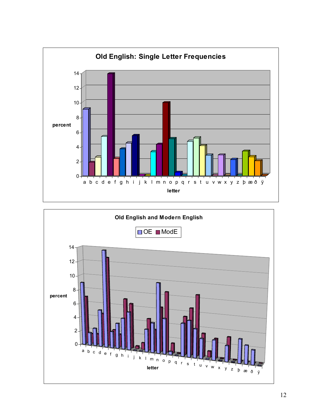

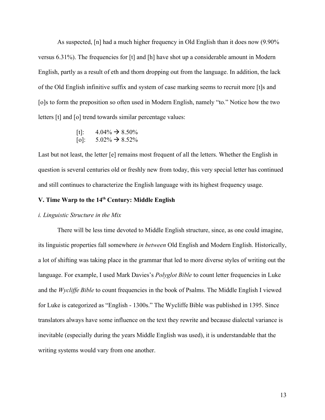As suspected, [n] had a much higher frequency in Old English than it does now (9.90% versus 6.31%). The frequencies for [t] and [h] have shot up a considerable amount in Modern English, partly as a result of eth and thorn dropping out from the language. In addition, the lack of the Old English infinitive suffix and system of case marking seems to recruit more [t]s and [o]s to form the preposition so often used in Modern English, namely "to." Notice how the two letters [t] and [o] trend towards similar percentage values:

> [t]:  $4.04\% \rightarrow 8.50\%$ [o]:  $5.02\% \rightarrow 8.52\%$

Last but not least, the letter [e] remains most frequent of all the letters. Whether the English in question is several centuries old or freshly new from today, this very special letter has continued and still continues to characterize the English language with its highest frequency usage.

# V. Time Warp to the 14<sup>th</sup> Century: Middle English

#### i. Linguistic Structure in the Mix

There will be less time devoted to Middle English structure, since, as one could imagine, its linguistic properties fall somewhere in between Old English and Modern English. Historically, a lot of shifting was taking place in the grammar that led to more diverse styles of writing out the language. For example, I used Mark Davies's *Polyglot Bible* to count letter frequencies in Luke and the Wycliffe Bible to count frequencies in the book of Psalms. The Middle English I viewed for Luke is categorized as "English - 1300s." The Wycliffe Bible was published in 1395. Since translators always have some influence on the text they rewrite and because dialectal variance is inevitable (especially during the years Middle English was used), it is understandable that the writing systems would vary from one another.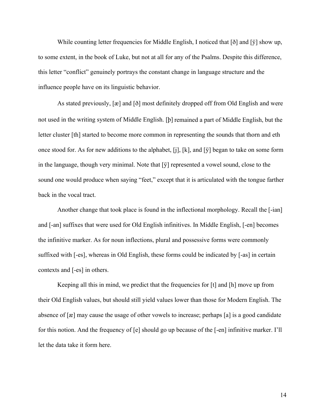While counting letter frequencies for Middle English, I noticed that  $\delta$  and  $\delta$   $\delta$  and  $\delta$   $\delta$  is how up, to some extent, in the book of Luke, but not at all for any of the Psalms. Despite this difference, this letter "conflict" genuinely portrays the constant change in language structure and the influence people have on its linguistic behavior.

As stated previously, [æ] and [ð] most definitely dropped off from Old English and were not used in the writing system of Middle English. [þ] remained a part of Middle English, but the letter cluster [th] started to become more common in representing the sounds that thorn and eth once stood for. As for new additions to the alphabet, [j], [k], and [ÿ] began to take on some form in the language, though very minimal. Note that [ÿ] represented a vowel sound, close to the sound one would produce when saying "feet," except that it is articulated with the tongue farther back in the vocal tract.

Another change that took place is found in the inflectional morphology. Recall the [-ian] and [-an] suffixes that were used for Old English infinitives. In Middle English, [-en] becomes the infinitive marker. As for noun inflections, plural and possessive forms were commonly suffixed with [-es], whereas in Old English, these forms could be indicated by [-as] in certain contexts and [-es] in others.

Keeping all this in mind, we predict that the frequencies for [t] and [h] move up from their Old English values, but should still yield values lower than those for Modern English. The absence of [æ] may cause the usage of other vowels to increase; perhaps [a] is a good candidate for this notion. And the frequency of [e] should go up because of the [-en] infinitive marker. I'll let the data take it form here.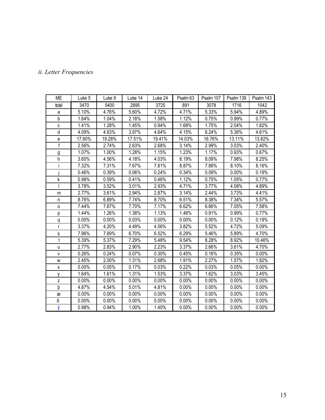# ii. Letter Frequencies

| МE                                | Luke 5 | Luke 9 | Luke 14 | Luke 24 | Psalm <sub>63</sub> | Psalm 107 | Psalm 139 | Psalm 143 |
|-----------------------------------|--------|--------|---------|---------|---------------------|-----------|-----------|-----------|
| total                             | 3470   | 5400   | 2895    | 3725    | 891                 | 3078      | 1716      | 1042      |
| a                                 | 5.10%  | 4.76%  | 5.60%   | 4.72%   | 4.71%               | 5.33%     | 5.94%     | 4.89%     |
| $\mathsf b$                       | 1.64%  | 1.04%  | 2.18%   | 1.58%   | 1.12%               | 0.75%     | 0.99%     | 0.77%     |
| C                                 | 1.41%  | 1.28%  | 1.45%   | 0.94%   | 1.68%               | 1.75%     | 2.04%     | 1.82%     |
| d                                 | 4.09%  | 4.63%  | 3.97%   | 4.64%   | 4.15%               | 6.24%     | 5.36%     | 4.61%     |
| $\mathsf{e}% _{t}\left( t\right)$ | 17.90% | 19.28% | 17.51%  | 19.41%  | 14.03%              | 16.76%    | 13.11%    | 13.82%    |
| f                                 | 2.56%  | 2.74%  | 2.63%   | 2.68%   | 3.14%               | 2.99%     | 3.03%     | 2.40%     |
| g                                 | 1.07%  | 1.00%  | 1.28%   | 1.15%   | 1.23%               | 1.17%     | 0.93%     | 0.67%     |
| h                                 | 3.60%  | 4.56%  | 4.18%   | 4.03%   | 8.19%               | 8.09%     | 7.98%     | 8.25%     |
|                                   | 7.32%  | 7.31%  | 7.67%   | 7.81%   | 8.87%               | 7.89%     | 8.10%     | 8.16%     |
|                                   | 0.46%  | 0.39%  | 0.06%   | 0.24%   | 0.34%               | 0.09%     | 0.00%     | 0.19%     |
| k                                 | 0.98%  | 0.59%  | 0.41%   | 0.46%   | 1.12%               | 0.75%     | 1.05%     | 0.77%     |
|                                   | 3.78%  | 3.52%  | 3.01%   | 2.93%   | 4.71%               | 3.77%     | 4.08%     | 4.89%     |
| m                                 | 2.77%  | 3.61%  | 2.94%   | 2.87%   | 3.14%               | 2.44%     | 3.73%     | 4.41%     |
| n                                 | 8.76%  | 6.89%  | 7.74%   | 8.70%   | 6.51%               | 8.38%     | 7.34%     | 5.57%     |
| $\circ$                           | 7.44%  | 7.67%  | 7.70%   | 7.17%   | 6.62%               | 6.66%     | 7.05%     | 7.58%     |
| p                                 | 1.44%  | 1.26%  | 1.38%   | 1.13%   | 1.46%               | 0.91%     | 0.99%     | 0.77%     |
| q                                 | 0.00%  | 0.00%  | 0.03%   | 0.00%   | 0.00%               | 0.00%     | 0.12%     | 0.19%     |
| $\mathsf{r}$                      | 3.37%  | 4.20%  | 4.49%   | 4.56%   | 3.82%               | 5.52%     | 4.72%     | 5.09%     |
| $\mathsf{s}$                      | 7.96%  | 7.69%  | 6.70%   | 6.52%   | 6.29%               | 5.46%     | 5.89%     | 4.70%     |
| $\mathfrak{t}$                    | 5.39%  | 5.37%  | 7.29%   | 5.48%   | 9.54%               | 8.28%     | 8.92%     | 10.46%    |
| u                                 | 2.77%  | 2.83%  | 2.90%   | 2.23%   | 3.37%               | 2.66%     | 3.61%     | 4.70%     |
| $\mathsf{V}$                      | 0.26%  | 0.24%  | 0.07%   | 0.30%   | 0.45%               | 0.16%     | 0.35%     | 0.00%     |
| W                                 | 2.45%  | 2.00%  | 1.31%   | 2.68%   | 1.91%               | 2.27%     | 1.57%     | 1.82%     |
| x                                 | 0.00%  | 0.05%  | 0.17%   | 0.03%   | 0.22%               | 0.03%     | 0.05%     | 0.00%     |
| у                                 | 1.64%  | 1.61%  | 1.31%   | 1.53%   | 3.37%               | 1.62%     | 3.03%     | 3.45%     |
| Z                                 | 0.00%  | 0.00%  | 0.00%   | 0.00%   | 0.00%               | 0.00%     | 0.00%     | 0.00%     |
| þ                                 | 4.87%  | 4.54%  | 5.01%   | 4.81%   | 0.00%               | 0.00%     | 0.00%     | 0.00%     |
| æ                                 | 0.00%  | 0.00%  | 0.00%   | 0.00%   | 0.00%               | 0.00%     | 0.00%     | 0.00%     |
| ð                                 | 0.00%  | 0.00%  | 0.00%   | 0.00%   | 0.00%               | 0.00%     | 0.00%     | 0.00%     |
| ÿ                                 | 0.98%  | 0.94%  | 1.00%   | 1.40%   | 0.00%               | 0.00%     | 0.00%     | 0.00%     |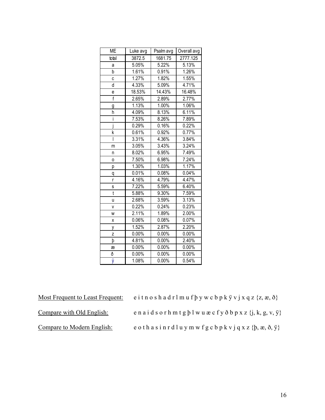| <b>ME</b>      | Luke avg | Psalm avg | Overall avg |
|----------------|----------|-----------|-------------|
| total          | 3872.5   | 1681.75   | 2777.125    |
| a              | 5.05%    | 5.22%     | 5.13%       |
| b              | 1.61%    | 0.91%     | 1.26%       |
| С              | 1.27%    | 1.82%     | 1.55%       |
| d              | 4.33%    | 5.09%     | 4.71%       |
| е              | 18.53%   | 14.43%    | 16.48%      |
| $\overline{f}$ | 2.65%    | 2.89%     | 2.77%       |
| g              | 1.13%    | 1.00%     | 1.06%       |
| h              | 4.09%    | 8.13%     | 6.11%       |
| ī              | 7.53%    | 8.26%     | 7.89%       |
| j              | 0.29%    | 0.16%     | 0.22%       |
| k              | 0.61%    | 0.92%     | 0.77%       |
| I              | 3.31%    | 4.36%     | 3.84%       |
| m              | 3.05%    | 3.43%     | 3.24%       |
| n              | 8.02%    | 6.95%     | 7.49%       |
| 0              | 7.50%    | 6.98%     | 7.24%       |
| р              | 1.30%    | 1.03%     | 1.17%       |
| q              | 0.01%    | 0.08%     | 0.04%       |
| r              | 4.16%    | 4.79%     | 4.47%       |
| s              | 7.22%    | 5.59%     | 6.40%       |
| $\mathfrak{t}$ | 5.88%    | 9.30%     | 7.59%       |
| u              | 2.68%    | 3.59%     | 3.13%       |
| V              | 0.22%    | 0.24%     | 0.23%       |
| W              | 2.11%    | 1.89%     | 2.00%       |
| X              | 0.06%    | 0.08%     | 0.07%       |
| y              | 1.52%    | 2.87%     | 2.20%       |
| z              | 0.00%    | 0.00%     | 0.00%       |
| þ              | 4.81%    | 0.00%     | 2.40%       |
| æ              | 0.00%    | 0.00%     | 0.00%       |
| ð              | 0.00%    | 0.00%     | 0.00%       |
| ÿ              | 1.08%    | 0.00%     | 0.54%       |

Most Frequent to Least Frequent: e i t n o s h a d r l m u f þ y w c b p k ÿ v j x q z {z, æ, ð}

Compare with Old English: e n a i d s o r h m t g b l w u æ c f y ð b p x z {j, k, g, v, ÿ}

Compare to Modern English: e o thas in r d l u y m w f g c b p k v j q x z  $\{p, \mathbf{x}, \mathbf{0}, \mathbf{y}\}\$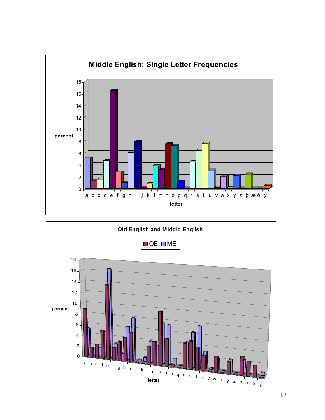

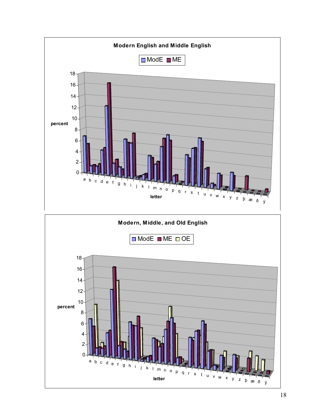

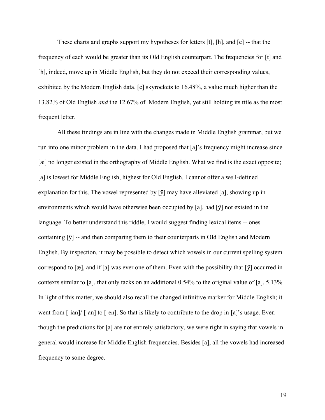These charts and graphs support my hypotheses for letters [t], [h], and [e] -- that the frequency of each would be greater than its Old English counterpart. The frequencies for [t] and [h], indeed, move up in Middle English, but they do not exceed their corresponding values, exhibited by the Modern English data. [e] skyrockets to 16.48%, a value much higher than the 13.82% of Old English and the 12.67% of Modern English, yet still holding its title as the most frequent letter.

All these findings are in line with the changes made in Middle English grammar, but we run into one minor problem in the data. I had proposed that [a]'s frequency might increase since [æ] no longer existed in the orthography of Middle English. What we find is the exact opposite; [a] is lowest for Middle English, highest for Old English. I cannot offer a well-defined explanation for this. The vowel represented by [ÿ] may have alleviated [a], showing up in environments which would have otherwise been occupied by [a], had [ÿ] not existed in the language. To better understand this riddle, I would suggest finding lexical items -- ones containing  $[\ddot{y}]$  -- and then comparing them to their counterparts in Old English and Modern English. By inspection, it may be possible to detect which vowels in our current spelling system correspond to  $[\mathcal{X}]$ , and if  $[\mathcal{X}]$  was ever one of them. Even with the possibility that  $[\ddot{y}]$  occurred in contexts similar to [a], that only tacks on an additional 0.54% to the original value of [a], 5.13%. In light of this matter, we should also recall the changed infinitive marker for Middle English; it went from [-ian]/ [-an] to [-en]. So that is likely to contribute to the drop in [a]'s usage. Even though the predictions for [a] are not entirely satisfactory, we were right in saying that vowels in general would increase for Middle English frequencies. Besides [a], all the vowels had increased frequency to some degree.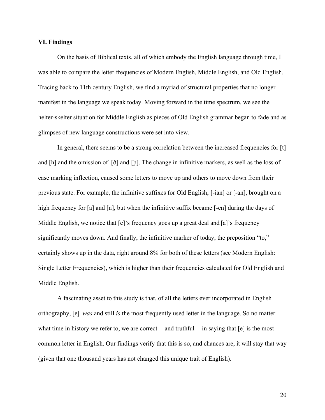#### VI. Findings

On the basis of Biblical texts, all of which embody the English language through time, I was able to compare the letter frequencies of Modern English, Middle English, and Old English. Tracing back to 11th century English, we find a myriad of structural properties that no longer manifest in the language we speak today. Moving forward in the time spectrum, we see the helter-skelter situation for Middle English as pieces of Old English grammar began to fade and as glimpses of new language constructions were set into view.

In general, there seems to be a strong correlation between the increased frequencies for [t] and [h] and the omission of [ð] and [þ]. The change in infinitive markers, as well as the loss of case marking inflection, caused some letters to move up and others to move down from their previous state. For example, the infinitive suffixes for Old English, [-ian] or [-an], brought on a high frequency for [a] and [n], but when the infinitive suffix became [-en] during the days of Middle English, we notice that  $[e]$ 's frequency goes up a great deal and  $[a]$ 's frequency significantly moves down. And finally, the infinitive marker of today, the preposition "to," certainly shows up in the data, right around 8% for both of these letters (see Modern English: Single Letter Frequencies), which is higher than their frequencies calculated for Old English and Middle English.

A fascinating asset to this study is that, of all the letters ever incorporated in English orthography, [e] was and still is the most frequently used letter in the language. So no matter what time in history we refer to, we are correct -- and truthful -- in saying that  $[e]$  is the most common letter in English. Our findings verify that this is so, and chances are, it will stay that way (given that one thousand years has not changed this unique trait of English).

20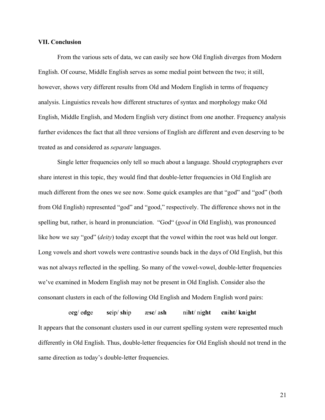#### VII. Conclusion

From the various sets of data, we can easily see how Old English diverges from Modern English. Of course, Middle English serves as some medial point between the two; it still, however, shows very different results from Old and Modern English in terms of frequency analysis. Linguistics reveals how different structures of syntax and morphology make Old English, Middle English, and Modern English very distinct from one another. Frequency analysis further evidences the fact that all three versions of English are different and even deserving to be treated as and considered as separate languages.

Single letter frequencies only tell so much about a language. Should cryptographers ever share interest in this topic, they would find that double-letter frequencies in Old English are much different from the ones we see now. Some quick examples are that "god" and "god" (both from Old English) represented "god" and "good," respectively. The difference shows not in the spelling but, rather, is heard in pronunciation. "God" (good in Old English), was pronounced like how we say "god" *(deity)* today except that the vowel within the root was held out longer. Long vowels and short vowels were contrastive sounds back in the days of Old English, but this was not always reflected in the spelling. So many of the vowel-vowel, double-letter frequencies we've examined in Modern English may not be present in Old English. Consider also the consonant clusters in each of the following Old English and Modern English word pairs:

ecg/ edge scip/ ship æsc/ ash niht/ night cniht/ knight It appears that the consonant clusters used in our current spelling system were represented much differently in Old English. Thus, double-letter frequencies for Old English should not trend in the same direction as today's double-letter frequencies.

21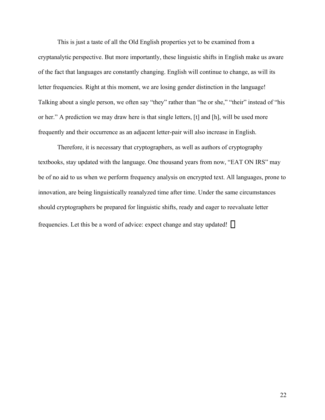This is just a taste of all the Old English properties yet to be examined from a cryptanalytic perspective. But more importantly, these linguistic shifts in English make us aware of the fact that languages are constantly changing. English will continue to change, as will its letter frequencies. Right at this moment, we are losing gender distinction in the language! Talking about a single person, we often say "they" rather than "he or she," "their" instead of "his or her." A prediction we may draw here is that single letters, [t] and [h], will be used more frequently and their occurrence as an adjacent letter-pair will also increase in English.

Therefore, it is necessary that cryptographers, as well as authors of cryptography textbooks, stay updated with the language. One thousand years from now, "EAT ON IRS" may be of no aid to us when we perform frequency analysis on encrypted text. All languages, prone to innovation, are being linguistically reanalyzed time after time. Under the same circumstances should cryptographers be prepared for linguistic shifts, ready and eager to reevaluate letter frequencies. Let this be a word of advice: expect change and stay updated!